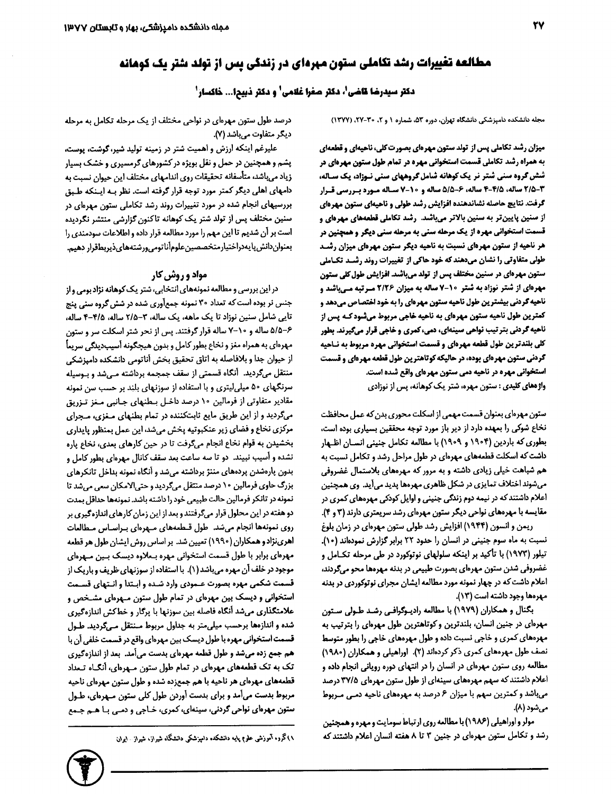# مطالعه تغییرات رشد تکاملی ستون مهردای در زندگی پس از تولد شتر یک کوهانه

دكتر سيدرضا قاضى"، دكتر صفرا غلامى" و دكتر ذبيحا... خاكسار"

مجله دانشکده دامپزشکی دانشگاه تهران، دوره ۵۳، شماره ۱ و ۲، ۳۰-۲۷، (۱۳۷۷)

میزان رشد تکاملی پس از تولد ستون مهرهای بصورت کلی، ناحیهای و قطعهای به همراه رشد تکاملی قسمت استخوانی مهره در تمام طول ستون مهرهای در شش گروه سنی شتر نر یک کوهانه شامل گروههای سنی نـوزاد، یک سـاله، 3/5-3/3 ساله، 4/5-4 ساله، 6-5/5 ساله و 10-7 سـاله مـورد بـررسي قـرار گرفت. نتایج حاصله نشاندهنده افزایش رشد طولی و ناحیهای ستون مهرهای از سنین پایینتر به سنین بالاتر میباشد. رشد تکاملی قطعههای مهرهای و قسمت استخواني مهره از يک مرحله سني به مرحله سني ديگر و همچنين در هر ناحیه از ستون مهرهای نسبت به ناحیه دیگر ستون مهرهای میزان رشـد طولی متفاوتی را نشان میدهند که خود هاکی از تغییرات روند رشـد تکـاملی ستون مهرهای در سنین مختلف پس از تولد میباشد. افزایش طول کلی ستون **مهردای از شتر نوزاد به شتر ۱۰-۷ ساله به میزان ۲/۲۶ میرتبه می باشد و** ناحیه گردنی بیشترین طول ناحیه ستون مهرهای را به خود اختصاص میدهد و کمترین طول ناحیه ستون مهرهای به ناحیه خاجی مربوط میشود کـه پس از ناهیه گردنی بترتیب نواحی سینهای، دمی، کمری و خاجی قرار میگیرند. بطور کلی بلندترین طول قطعه مهرهای و قسمت استخوانی مهره مربوط به نـاحیه گردنی ستون مهرهای بوده، در حالیکه کوتاهترین طول قطعه مهرهای و قسمت استخوانی مهره در ناحیه دمی ستون مهرهای واقع شده است. **واژههای کلیدی :** ستون مهره، شتر یک کوهانه، پس از نوزادی

ستون مهرهای بعنوان قسمت مهمی از اسکلت محوری بدن که عمل محافظت نخاع شوكي را بمهده دارد از دير باز مورد توجه محققين بسياري بوده است، بطوری که باردین (۱۹۰۴ و ۱۹۰۹) با مطالعه تکامل جنینی انسـان اظـهار داشت که اسکلت قطعههای مهرهای در طول مراحل رشد و تکامل نسبت به هم شباهت خیلی زیادی داشته و به مرور که مهرههای بلاستمال غضروفی میشوند اختلاف تمایزی در شکل ظاهری مهرهها پدید میآید. وی همچنین اعلام داشتند که در نیمه دوم زندگی جنینی و اوایل کودکی مهرههای کمری در مقایسه با مهرههای نواحی دیگر ستون مهرهای رشد سریعتری دارند (۳ و ۴). ریمن و انسون (۱۹۴۴) افزایش رشد طولی ستون مهرهای در زمان بلوغ

نسبت به ماه سوم جنینی در انسان را حدود ٢٢ برابر گزارش نمودهاند (١٠). تیلور (۱۹۷۳) با تأکید بر اینکه سلولهای نوتوکورد در طی مرحله تکـامل و غضروفی شدن ستون مهرهای بصورت طبیعی در بدنه مهرهها محو میگردند، اعلام داشت که در چهار نمونه مورد مطالعه ایشان مجرای نوتوکوردی در بدنه مهرهها وجود داشته است (۱۳).

بگنال و همکاران (۱۹۷۹) با مطالعه رادیـوگرافـی رشـد طـولی سـتون مهرهای در جنین انسان، بلندترین و کوتاهترین طول مهرهای را بترتیب به مهرههای کمری و خاجی نسبت داده و طول مهرههای خاجی را بطور متوسط نصف طول مهرههای کمری ذکر کردهاند (۲). اوراهیلی و همکاران (۱۹۸۰) مطالعه روی ستون مهرمای در انسان را در انتهای دوره رویانی انجام داده و اعلام داشتند که سهم مهرههای سینهای از طول ستون مهرهای ۳۷/۵ درصد میباشد و کمترین سهم با میزان ۶ درصد به مهرههای ناحیه دمـی مـربوط مي شود (٨).

مولر واوراهیلی (۱۹۸۶) با مطالعه روی ارتباط سومایت و مهره و همچنین رشد و تکامل ستون مهرهای در جنین ۳ تا ۸ هفته انسان اعلام داشتند که

درصد طول ستون مهرهای در نواحی مختلف از یک مرحله تکامل به مرحله دیگر متفاوت میباشد (۷).

علیرغم اینکه ارزش و اهمیت شتر در زمینه تولید شیر، گوشت، پوست، پشم و همچنین در حمل و نقل بویژه در کشورهای گرمسیری و خشک بسیار زياد ميباشد، متأسفانه تحقيقات روى اندامهاى مختلف اين حيوان نسبت به دامهای اهلی دیگر کمتر مورد توجه قرار گرفته است. نظر بـه ایـنکه طـبق بررسیهای انجام شده در مورد تغییرات روند رشد تکاملی ستون مهرهای در سنین مختلف پس از تولد شتر یک کوهانه تاکنون گزارشی منتشر نگردیده است بر أن شديم تا اين مهم را مورد مطالعه قرار داده و اطلاعات سودمندي را بمنوان دانش پایهدراختیار متخصصین علومأنا تومی ورشته های ذیربطقرار دهیم.

### **مواد و روش کار**

در این بررسی و مطالعه نمونههای انتخابی، شتر یک کوهانه نژاد بومی و از جنس نر بوده است که تعداد ۳۰ نمونه جمعآوری شده در شش گروه سنی پنج تایی شامل سنین نوزاد تا یک ماهه، یک ساله، ۳-۲/۵ ساله، ۴/۵-۴ ساله، ۶-۵/۵ ساله و ۷۰-۷ ساله قرار گرفتند. پس از نحر شتر اسکلت سر و ستون مهرهای به همراه مغز و نخاع بطور کامل و بدون هیچگونه آسیبدیدگی سریعاً از حیوان جدا و بلافاصله به اتاق تحقیق بخش أناتومی دانشکده دامپزشکی منتقل میگردید. آنگاه قسمتی از سقف جمجمه برداشته مے شد و بیوسیله سرنگهای ۵۰ میلی لیتری و با استفاده از سوزنهای بلند بر حسب سن نمونه مقادیر متفاوتی از فرمالین ۱۰ درصد داخـل بـطنهای جـانبی مـغز تـزریق میگردید و از این طریق مایع ثابتکننده در تمام بطنهای منغزی، مجرای مرکزی نخاع و فضای زیر عنکبوتیه پخش میشد، این عمل بمنظور پایداری بخشیدن به قوام نخاع انجام میگرفت تا در حین کارهای بعدی، نخاع یاره نشده و أسيب نبيند. دو تا سه ساعت بعد سقف كانال مهرهاى بطور كامل و بدون پارهشدن پردههای مننژ برداشته میشد و أنگاه نمونه بداخل تانکرهای بزرگ حاوی فرمالین ١٠ درصد منتقل میگردید و حتی الامکان سعی می شد تا نمونه در تانکر فرمالین حالت طبیعی خود را داشته باشد. نمونهها حداقل بمدت دو هفته در این محلول قرار میگرفتند و بعد از این زمان کارهای اندازهگیری بر روی نمونهها انجام میشد. طول قـطعههای مـهرهای بـراسـاس مـطالعات اهرينژادو همكاران (١٩٩٠) تعيين شد. بر اساس روش ايشان طول هر قطعه مهرمای برابر با طول قسمت استخوانی مهره بـعلاوه دیسک بـین مـهرمای موجود در خلف آن مهره میباشد (۱). با استفاده از سوزنهای ظریف و باریک از قسمت شکمی مهره بصورت عـمودی وارد شـده و ابـتدا و انـتهای قسـمت استخوانی و دیسک بین مهرهای در تمام طول ستون مـهرهای مشـخص و علامتگذاری میشد أنگاه فاصله بین سوزنها با پرگار و خطکش اندازهگیری شده و اندازهها برحسب میلی متر به جداول مربوط مـنتقل مـیگردید. طـول قسمت استخوانی مهره با طول دیسک بین مهرهای واقع در قسمت خلفی أن با هم جمع زده میشد و طول قطعه مهرهای بدست میآمد. بعد از اندازهگیری تک به تک قطعههای مهرهای در تمام طول ستون مـهرهای، أنگـاه تـعداد قطعههای مهرهای هر ناحیه با هم جمعزده شده و طول ستون مهرهای ناحیه مربوط بدست می آمد و برای بدست آوردن طول کلی ستون مـهرمای، طـول ستون مهرهای نواحی گردنی، سینهای، کمری، خـاجی و دمـی بـا هـم جـمع

۱۸)گروه آموزشی علوم پایه دانشکده دامپزشکی دانشگاه شیراز، شیراز ۱۰ ایران

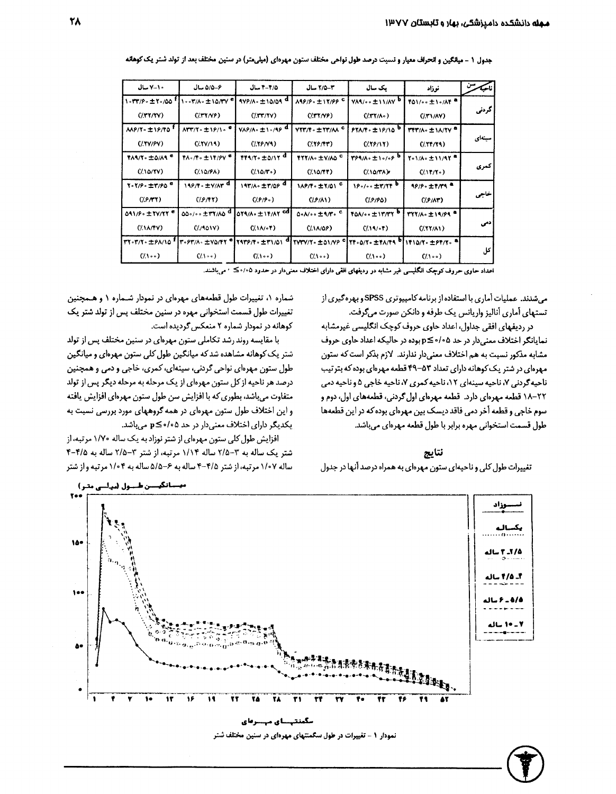| ناحكه  | نوزاد                   | یک سال                             | 4-7/۵ سال                   | 4/٥- ٢ سال                                                                                           | ۵/۵-۶ سال                                             | 10-7-مال                          |
|--------|-------------------------|------------------------------------|-----------------------------|------------------------------------------------------------------------------------------------------|-------------------------------------------------------|-----------------------------------|
| كردني  | TO1/00 ±10/AT           | <b>VAR/00 ± 11/AV <sup>0</sup></b> | <b>AAP/P. ±17/PPC</b>       | 979/10 ±10/09 <sup>d</sup>                                                                           | ۰۰۳/۸۰±۱۵/۳۷ <sup>۰</sup>                             | 1.TT/P. ± Y./00 "                 |
|        | (1.11/AY)               | (7.55)                             | (7.77/9)                    | (117/11)                                                                                             | (1.77/9)                                              | (7.1177)                          |
| سينهاي | <b>TTT/A. ± \A/TY ª</b> | $PYAYY \circ \pm 19/10$            | VYT/T = ±YT/AA <sup>C</sup> | VAP/A. ±1./4P <sup>d</sup>                                                                           | $ATT/Y0 \pm 19/108$                                   | <b>AAP/Y</b> = 1P/TO <sup>1</sup> |
|        | (111/19)                | (1.19/11)                          | (1.19/14)                   | (159/1)                                                                                              | (1.111)                                               | (7.999)                           |
| كمرى   | Yo \/Ao ± \\/9Y ª       | Y94/A+±1+/+P                       | TYY/A. ±V/AO <sup>C</sup>   | $TT1/T \cdot \pm 0/1T$ <sup>d</sup>                                                                  | $Y \wedge \cdot$ / $Y \cdot \pm \vee Y$ / $Y \cdot Y$ | TARIT. ±0/AR <sup>e</sup>         |
|        | (1.17/7)                | (1100)                             | (1.1077)                    | (1100)                                                                                               | (110/8A)                                              | (710/7V)                          |
| خاجى   | 19/9. ±1/11 ª           | 19.1 ±1/11 D                       | 1AP/F = ± Y/01 °            | $197/A.$ $\pm 7/09$ <sup>d</sup>                                                                     | 199/F . ± Y/AY <sup>d</sup>                           | Y.Y/P. ±٣/PO <sup>e</sup>         |
|        | (1.9/AT)                | (19/80)                            | (1.8/1)                     | (1.9/9)                                                                                              | (1.9/94)                                              | (1.9.94)                          |
| : دمی  | TYY/A. ±19/99 ª         | TOA/00 ± 17/77                     | $0.1/\cdots 1.1/\gamma$ .   | 073/A. ± 17/AY CO                                                                                    | 00./ ± **/^0 ª                                        | 091/9. ± TV/TY                    |
|        | (1.11/1)                | (7.19/04)                          | (11109)                     | $(1.1A/\sqrt{5})$                                                                                    | (1/101V)                                              | (1.1A/YY)                         |
| کل     |                         |                                    |                             | ٣٢٠٣/٢٠ ±١٢١/١٥   ٣٠٥٣/٨٠ ±٧٥/٢٢   ٢٩٣/٣٠ ±٣١/٥١   ٢٢٧٣٧/٢٠ ±٥١/٧٥   ٢٢٠٥/٢٠ ±٢٨/٢٩   ٢١١٥/٢٠ ±١٢/٢٠ |                                                       |                                   |
|        | (1100)                  | (1.1)                              | $(1.1 \circ 0)$             | $(1.1 \cdot \cdot)$                                                                                  | (1100)                                                | (1100)                            |
|        |                         |                                    |                             |                                                                                                      |                                                       |                                   |

جدول ١ - ميانگين و انحراف معيار و نسبت درصد طول نواحي مختلف ستون مهرهاي (ميليمتر) در سنين مختلف بعد از تولد شتر يک کوهانه

اعداد حاوی حروف کوچک انگلیسی غیر مشابه در ردیفهای افقی دارای اختلاف معنیدار در حدود ۰/۰۵٪ ۲ می باشند.

می شدند. عملیات آماری با استفاده از برنامه کامپیوتری SPSS و بهرهگیری از تستهای آماری آنالیز واریانس یک طرفه و دانکن صورت میگرفت.

در ردیفهای افقی جداول، اعداد حاوی حروف کوچک انگلیسی غیرمشابه نمایانگر اختلاف معنی دار در حد ۰/۰۵≥p بوده در حالیکه اعداد حاوی حروف مشابه مذکور نسبت به هم اختلاف معنی دار ندارند. لازم بذکر است که ستون مهرهای در شتر یک کوهانه دارای تعداد ۵۳-۴۹ قطعه مهرهای بوده که بترتیب ناحیهگردنی ۷، ناحیه سینهای ۱۲، ناحیه کمری ۷، ناحیه خاجی ۵ و ناحیه دمی ۲۲–۱۸ قطعه مهرمای دارد. قطعه مهرمای اول گردنی، قطعههای اول، دوم و سوم خاجی و قطعه آخر دمی فاقد دیسک بین مهرهای بوده که در این قطعهها طول قسمت استخوانی مهره برابر با طول قطعه مهرهای میباشد.

نتايج

تغییرات طول کلی و ناحیهای ستون مهرهای به همراه درصد أنها در جدول

شماره ۰/ تغییرات طول قطعههای مهرهای در نمودار شـماره ۱ و هـمچنین تغییرات طول قسمت استخوانی مهره در سنین مختلف پس از تولد شتر یک کوهانه در نمودار شماره ۲ منعکس گردیده است.

با مقایسه روند رشد تکاملی ستون مهرهای در سنین مختلف پس از تولد شتر یک کوهانه مشاهده شد که میانگین طول کلی ستون مهرهای و میانگین طول ستون مهرهای نواحی گردنی، سینهای، کمری، خاجی و دمی و همچنین درصد هر ناحیه از کل ستون مهرهای از یک مرحله به مرحله دیگر پس از تولد متفاوت میباشد، بطوری که با افزایش سن طول ستون مهرهای افزایش یافته و این اختلاف طول ستون مهرهای در همه گروههای مورد بررسی نسبت به یکدیگر دارای اختلاف معنیدار در حد ۱٫۵۵> p≤ میباشد.

افزایش طول کلی ستون مهرهای از شتر نوزاد به یک ساله ۱/۷۰ مرتبه، از شتر یک ساله به ۳-۲/۵ ساله ۱/۱۴ مرتبه، از شتر ۳-۲/۵ ساله به ۴/۵-۴ ساله ۱/۰۷ مرتبه، از شتر ۴/۵-۴ ساله به ۶-۵/۵ ساله به ۱/۰۴ مرتبه واز شتر



نمودار ۱ - تغییرات در طول سکمنتهای مهرهای در سنین مختلف شتر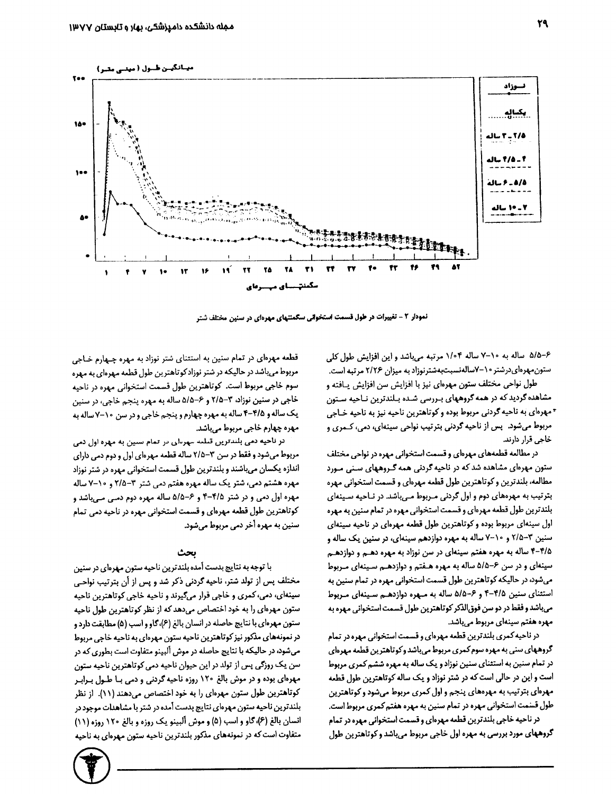

نمودار ۲ - تغییرات در طول قسمت استخوانی سکمنتهای مهرهای در سنین مختلف شتر

۶–۵/۵ ساله به ۱۰–۷ ساله ۱/۰۴ مرتبه میباشد و این افزایش طول کلی ستون مهرهای درشتر ۲۰-۷ساله نسبت به شتر نوزاد به میزان ۲/۲۶ مرتبه است.

طول نواحی مختلف ستون مهرهای نیز با افزایش سن افزایش پافته و مشاهده گردید که در همه گروههای بـررسی شـده بـلندترین نـاحیه سـتون \* مهرهای به ناحیه گردنی مربوط بوده و کوتاهترین ناحیه نیز به ناحیه خـاجی مربوط میشود. پس از ناحیه گردنی بترتیب نواحی سینهای، دمی، کـمری و خاجی قرار دارند.

در مطالعه قطعههای مهرهای و قسمت استخوانی مهره در نواحی مختلف ستون مهرهای مشاهده شد که در ناحیه گردنی همه گـروههای سـنی مـورد مطالعه، بلندترین و کوتاهترین طول قطعه مهرهای و قسمت استخوانی مهره بترتیب به مهرههای دوم و اول گردنی مـربوط مـیباشد. در نـاحیه سـینهای بلندترین طول قطعه مهرهای و قسمت استخوانی مهره در تمام سنین به مهره اول سینهای مربوط بوده و کوتاهترین طول قطعه مهرهای در ناحیه سینهای سنین ۳-۲/۵ و ۲۰-۷ ساله به مهره دوازدهم سینهای، در سنین یک ساله و ۴-۴/۵ ساله به مهره هفتم سینهای در سن نوزاد به مهره دهـم و دوازدهـم سینهای و در سن ۶–۵/۵ ساله به مهره هـفتم و دوازدهـم سـینهای مـربوط می شود، در حالیکه کوتاهترین طول قسمت استخوانی مهره در تمام سنین به استثنای سنین ۴/۵-۴ و ۶-۵/۵ ساله به مـهره دوازدهـم سـینهای مـربوط میباشد و فقط در دو سن فوق|لذکر کوتاهترین طول قسمت استخوانی مهره به مهره هفتم سینهای مربوط میباشد.

در ناحیه کمری بلندترین قطعه مهرهای و قسمت استخوانی مهره در تمام گروههای سنی به مهره سوم کمری مربوط میباشد وکوتاهترین قطمه مهرمای در تمام سنین به استثنای سنین نوزاد و یک ساله به مهره ششم کمری مربوط است و این در حالی است که در شتر نوزاد و یک ساله کوتاهترین طول قطعه مهرهای بترتیب به مهرههای پنجم و اول کمری مربوط میشود و کوتاهترین طول قسمت استخوانی مهره در تمام سنین به مهره هفتم کمری مربوط است.

در ناحیه خاجی بلندترین قطعه مهرهای و قسمت استخوانی مهره در تمام گروههای مورد بررسی به مهره اول خاجی مربوط میباشد و کوتاهترین طول

قطعه مهرهای در تمام سنین به استثنای شتر نوزاد به مهره چـهارم خـاجی مربوط میباشد در حالیکه در شتر نوزادکوتاهترین طول قطعه مهرهای به مهره سوم خاجی مربوط است. کوتاهترین طول قسمت استخوانی مهره در ناحیه خاجي در سنين نوزاد، ٣-٢/٥ و ۶-٥/۵ ساله به مهره پنجم خاجي، در سنين يک ساله و ۴/۵-۴ ساله به مهره چهارم و پنجم خاجی و در سن ۱۰-۷ ساله به مھرہ چھارم خاجی مربوط می باشد.

در ناحیه دمی بلندترین تبلیه مهربای در تمام سبین به مهره اول دمی مربوط میشود و فقط در سن ۳–۲/۵ ساله قطعه مهرهای اول و دوم دمی دارای اندازه یکسان میباشند و بلندترین طول قسمت استخوانی مهره در شتر نوزاد مهره هشتم دمی، شتر یک ساله مهره هفتم دمی شتر ۳-۲/۵ و ۰۰-۷ ساله مهره اول دمی و در شتر ۴/۵-۴ و ۶-۵/۵ ساله مهره دوم دمـی مـی.باشد و کوتاهترین طول قطعه مهرهای و قسمت استخوانی مهره در ناحیه دمی تمام سنین به مهره آخر دمی مربوط میشود.

#### بحث

با توجه به نتایج بدست آمده بلندترین ناحیه ستون مهرهای در سنین مختلف پس از تولد شتر، ناحیه گردنی ذکر شد و پس از آن بترتیب نواحی سینهای، دمی، کمری و خاجی قرار میگیرند و ناحیه خاجی کوتاهترین ناحیه ستون مهرهای را به خود اختصاص می دهد که از نظر کوتاهترین طول ناحیه ستون مهرهای با نتایج حاصله در انسان بالغ (۶)،گاو و اسب (۵) مطابقت دارد و در نمونههای مذکور نیز کوتاهترین ناحیه ستون مهرهای به ناحیه خاجی مربوط میشود، در حالیکه با نتایج حاصله در موش آلبینو متفاوت است بطوری که در سن یک روزگی پس از تولد در این حیوان ناحیه دمی کوتاهترین ناحیه ستون مهرهای بوده و در موش بالغ ۱۲۰ روزه ناحیه گردنی و دمی بـا طـول بـرابـر کوتاهترین طول ستون مهرهای را به خود اختصاص می دهند (۱۱). از نظر بلندترین ناحیه ستون مهرهای نتایج بدست آمده در شتر با مشاهدات موجود در انسان بالغ (۶)، گاو و اسب (۵) و موش ألبينو يک روزه و بالغ ۱۲۰ روزه (۱۱) متفاوت است که در نمونههای مذکور بلندترین ناحیه ستون مهرهای به ناحیه